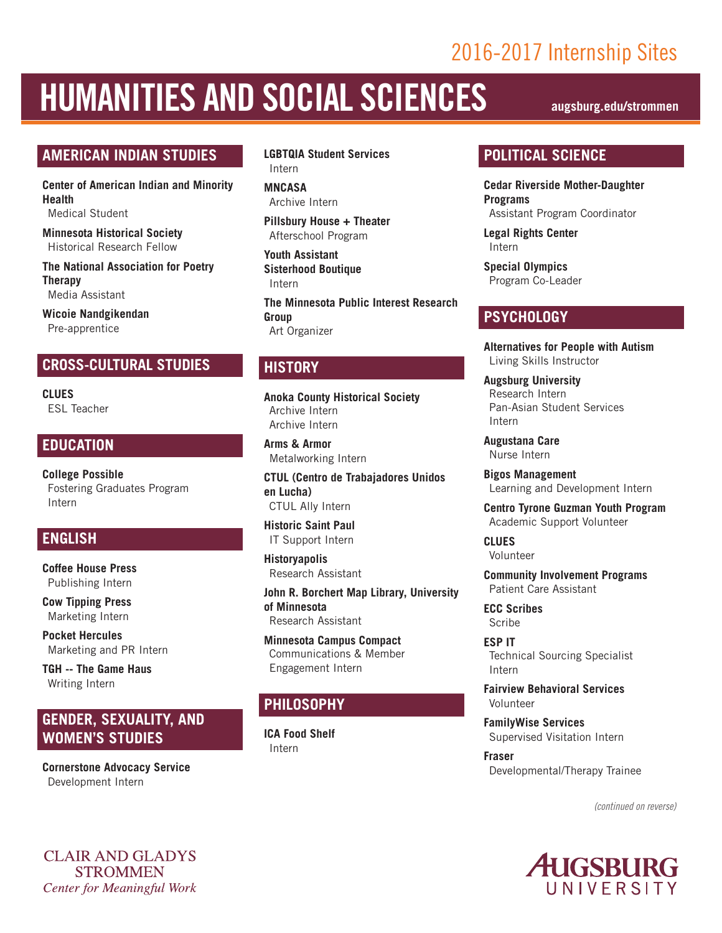### 2016-2017 Internship Sites

# HUMANITIES AND SOCIAL SCIENCES **augsburg.edu/strommen**

#### **AMERICAN INDIAN STUDIES**

**Center of American Indian and Minority Health** Medical Student

**Minnesota Historical Society** Historical Research Fellow

**The National Association for Poetry Therapy** Media Assistant

**Wicoie Nandgikendan** Pre-apprentice

#### **CROSS-CULTURAL STUDIES**

**CLUES** ESL Teacher

#### **EDUCATION**

**College Possible** Fostering Graduates Program Intern

#### **ENGLISH**

**Coffee House Press** Publishing Intern

**Cow Tipping Press** Marketing Intern

**Pocket Hercules** Marketing and PR Intern

**TGH -- The Game Haus** Writing Intern

#### **GENDER, SEXUALITY, AND WOMEN'S STUDIES**

**Cornerstone Advocacy Service** Development Intern

**CLAIR AND GLADYS STROMMEN Center for Meaningful Work**  **LGBTQIA Student Services** Intern

**MNCASA**  Archive Intern

**Pillsbury House + Theater**  Afterschool Program

**Youth Assistant Sisterhood Boutique** Intern

**The Minnesota Public Interest Research Group** Art Organizer

#### **HISTORY**

**Anoka County Historical Society** Archive Intern Archive Intern

**Arms & Armor** Metalworking Intern

**CTUL (Centro de Trabajadores Unidos en Lucha)** CTUL Ally Intern

**Historic Saint Paul** IT Support Intern

**Historyapolis** Research Assistant

**John R. Borchert Map Library, University of Minnesota** Research Assistant

**Minnesota Campus Compact** Communications & Member Engagement Intern

#### **PHILOSOPHY**

**ICA Food Shelf** Intern

#### **POLITICAL SCIENCE**

**Cedar Riverside Mother-Daughter Programs** Assistant Program Coordinator

**Legal Rights Center** Intern

**Special Olympics** Program Co-Leader

#### **PSYCHOLOGY**

**Alternatives for People with Autism** Living Skills Instructor

**Augsburg University** Research Intern Pan-Asian Student Services Intern

**Augustana Care** Nurse Intern

**Bigos Management** Learning and Development Intern

**Centro Tyrone Guzman Youth Program** Academic Support Volunteer

**CLUES** Volunteer

**Community Involvement Programs** Patient Care Assistant

**ECC Scribes** Scribe

**ESP IT** Technical Sourcing Specialist Intern

**Fairview Behavioral Services** Volunteer

**FamilyWise Services** Supervised Visitation Intern

**Fraser** Developmental/Therapy Trainee

*(continued on reverse)*